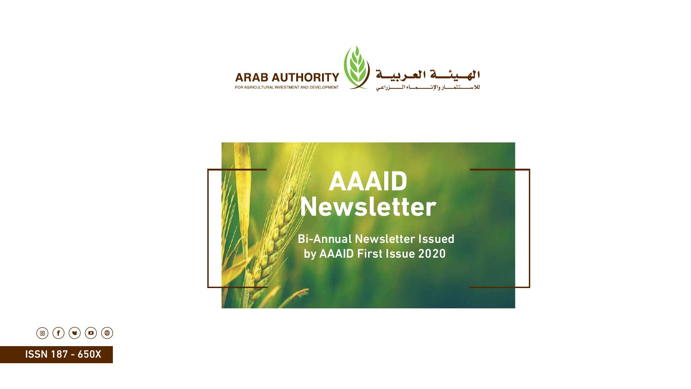# **AAAID Newsletter**

Bi-Annual Newsletter Issued by AAAID First Issue 2020







ISSN 187 - 650X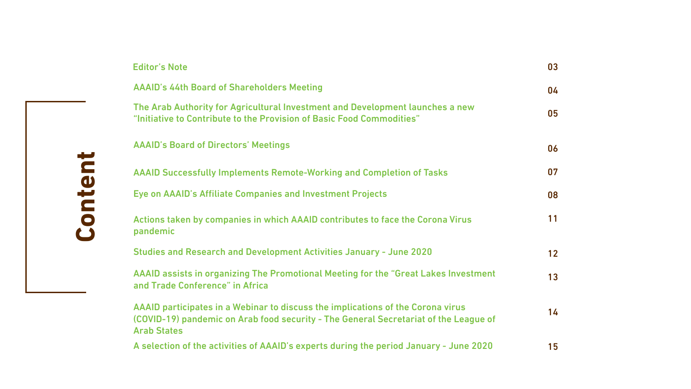

|                                                                                | 03 |
|--------------------------------------------------------------------------------|----|
|                                                                                | 04 |
| <b>nt and Development launches a new</b><br>sic Food Commodities"              | 05 |
|                                                                                | 06 |
| <b>king and Completion of Tasks</b>                                            | 07 |
| tment Projects                                                                 | 08 |
| <b>Iontributes to face the Corona Virus</b>                                    |    |
| ities January - June 2020                                                      | 12 |
| <b>Meeting for the "Great Lakes Investment</b>                                 | 13 |
| e implications of the Corona virus<br>The General Secretariat of the League of | 14 |
| s during the period January - June 2020                                        | 15 |

#### Editor's Note

AAAID's 44th Board of Shareholders Meeting

The Arab Authority for Agricultural Investment "Initiative to Contribute to the Provision of Bas

Actions taken by companies in which AAAID contains pandemic

**Studies and Research and Development Activi** 

AAAID's Board of Directors' Meetings

AAAID Successfully Implements Remote-Work

Eye on AAAID's Affiliate Companies and Invest

AAAID assists in organizing The Promotional and Trade Conference" in Africa

AAAID participates in a Webinar to discuss the (COVID-19) pandemic on Arab food security -Arab States

A selection of the activities of AAAID's experts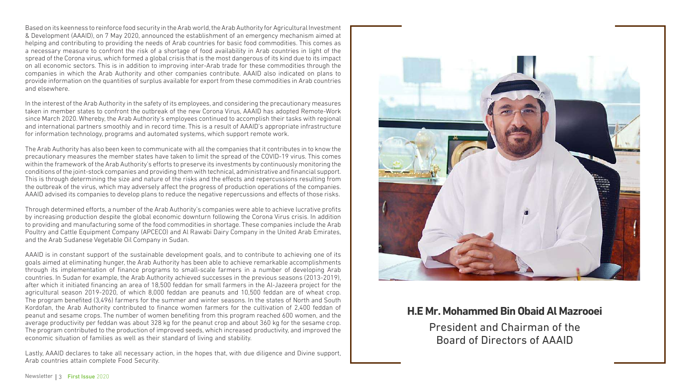#### **H.E Mr. Mohammed Bin Obaid Al Mazrooei**

President and Chairman of the Board of Directors of AAAID



Based on its keenness to reinforce food security in the Arab world, the Arab Authority for Agricultural Investment & Development (AAAID), on 7 May 2020, announced the establishment of an emergency mechanism aimed at helping and contributing to providing the needs of Arab countries for basic food commodities. This comes as a necessary measure to confront the risk of a shortage of food availability in Arab countries in light of the spread of the Corona virus, which formed a global crisis that is the most dangerous of its kind due to its impact on all economic sectors. This is in addition to improving inter-Arab trade for these commodities through the companies in which the Arab Authority and other companies contribute. AAAID also indicated on plans to provide information on the quantities of surplus available for export from these commodities in Arab countries and elsewhere.

In the interest of the Arab Authority in the safety of its employees, and considering the precautionary measures taken in member states to confront the outbreak of the new Corona Virus, AAAID has adopted Remote-Work since March 2020. Whereby, the Arab Authority's employees continued to accomplish their tasks with regional and international partners smoothly and in record time. This is a result of AAAID's appropriate infrastructure for information technology, programs and automated systems, which support remote work.

The Arab Authority has also been keen to communicate with all the companies that it contributes in to know the precautionary measures the member states have taken to limit the spread of the COVID-19 virus. This comes within the framework of the Arab Authority's efforts to preserve its investments by continuously monitoring the conditions of the joint-stock companies and providing them with technical, administrative and financial support. This is through determining the size and nature of the risks and the effects and repercussions resulting from the outbreak of the virus, which may adversely affect the progress of production operations of the companies. AAAID advised its companies to develop plans to reduce the negative repercussions and effects of those risks.

Through determined efforts, a number of the Arab Authority's companies were able to achieve lucrative profits by increasing production despite the global economic downturn following the Corona Virus crisis. In addition to providing and manufacturing some of the food commodities in shortage. These companies include the Arab Poultry and Cattle Equipment Company (APCECO) and Al Rawabi Dairy Company in the United Arab Emirates, and the Arab Sudanese Vegetable Oil Company in Sudan.

AAAID is in constant support of the sustainable development goals, and to contribute to achieving one of its goals aimed at eliminating hunger, the Arab Authority has been able to achieve remarkable accomplishments through its implementation of finance programs to small-scale farmers in a number of developing Arab countries. In Sudan for example, the Arab Authority achieved successes in the previous seasons (2013-2019), after which it initiated financing an area of 18,500 feddan for small farmers in the Al-Jazeera project for the agricultural season 2019-2020, of which 8,000 feddan are peanuts and 10,500 feddan are of wheat crop. The program benefited (3,496) farmers for the summer and winter seasons. In the states of North and South Kordofan, the Arab Authority contributed to finance women farmers for the cultivation of 2,400 feddan of peanut and sesame crops. The number of women benefiting from this program reached 600 women, and the average productivity per feddan was about 328 kg for the peanut crop and about 360 kg for the sesame crop. The program contributed to the production of improved seeds, which increased productivity, and improved the economic situation of families as well as their standard of living and stability.

Lastly, AAAID declares to take all necessary action, in the hopes that, with due diligence and Divine support, Arab countries attain complete Food Security.

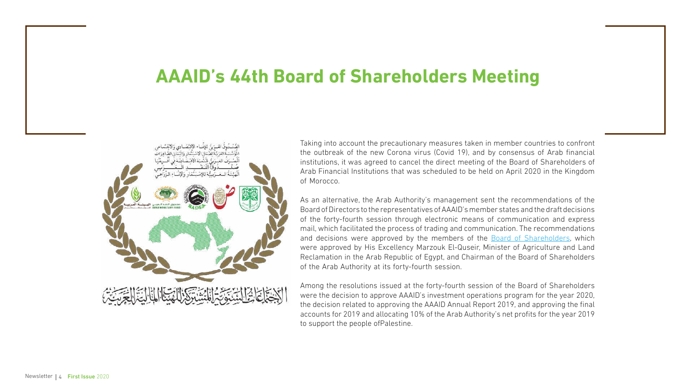## **AAAID's 44th Board of Shareholders Meeting**



Taking into account the precautionary measures taken in member countries to confront the outbreak of the new Corona virus (Covid 19), and by consensus of Arab financial institutions, it was agreed to cancel the direct meeting of the Board of Shareholders of Arab Financial Institutions that was scheduled to be held on April 2020 in the Kingdom of Morocco.

As an alternative, the Arab Authority's management sent the recommendations of the Board of Directors to the representatives of AAAID's member states and the draft decisions of the forty-fourth session through electronic means of communication and express mail, which facilitated the process of trading and communication. The recommendations and decisions were approved by the members of the **Board of Shareholders**, which were approved by His Excellency Marzouk El-Quseir, Minister of Agriculture and Land Reclamation in the Arab Republic of Egypt, and Chairman of the Board of Shareholders of the Arab Authority at its forty-fourth session.

Among the resolutions issued at the forty-fourth session of the Board of Shareholders were the decision to approve AAAID's investment operations program for the year 2020, the decision related to approving the AAAID Annual Report 2019, and approving the final accounts for 2019 and allocating 10% of the Arab Authority's net profits for the year 2019 to support the people ofPalestine.

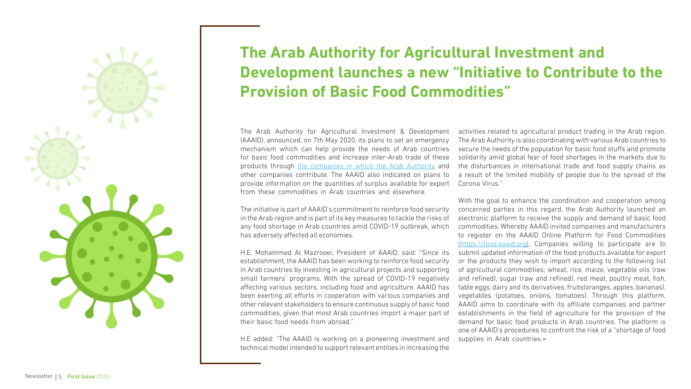

## **The Arab Authority for Agricultural Investment and Development launches a new "Initiative to Contribute to the Provision of Basic Food Commodities"**

The initiative is part of AAAID's commitment to reinforce food security in the Arab region and is part of its key measures to tackle the risks of any food shortage in Arab countries amid COVID-19 outbreak, which has adversely affected all economies.

The Arab Authority for Agricultural Investment & Development (AAAID), announced, on 7th May 2020, its plans to set an emergency mechanism which can help provide the needs of Arab countries for basic food commodities and increase inter-Arab trade of these products through [the companies in which the Arab Authority](https://www.aaaid.org/en/our-companies/) and other companies contribute. The AAAID also indicated on plans to provide information on the quantities of surplus available for export from these commodities in Arab countries and elsewhere. activities related to agricultural product trading in the Arab region. The Arab Authority is also coordinating with various Arab countries to secure the needs of the population for basic food stuffs and promote solidarity amid global fear of food shortages in the markets due to the disturbances in international trade and food supply chains as a result of the limited mobility of people due to the spread of the Corona Virus."

H.E. Mohammed Al Mazrooei, President of AAAID, said: "Since its establishment, the AAAID has been working to reinforce food security in Arab countries by investing in agricultural projects and supporting small farmers' programs. With the spread of COVID-19 negatively affecting various sectors, including food and agriculture, AAAID has been exerting all efforts in cooperation with various companies and other relevant stakeholders to ensure continuous supply of basic food commodities, given that most Arab countries import a major part of their basic food needs from abroad."

H.E added: "The AAAID is working on a pioneering investment and technical model intended to support relevant entities in increasing the

With the goal to enhance the coordination and cooperation among concerned parties in this regard, the Arab Authority launched an electronic platform to receive the supply and demand of basic food commodities. Whereby AAAID invited companies and manufacturers to register on the AAAID Online Platform for Food Commodities ([https://food.aaaid.org](https://food.aaaid.org/Default.aspx?lang=en)). Companies willing to participate are to submit updated information of the food products available for export or the products they wish to import according to the following list of agricultural commodities; wheat, rice, maize, vegetable oils (raw and refined), sugar (raw and refined), red meat, poultry meat, fish, table eggs, dairy and its derivatives, fruits(oranges, apples, bananas), vegetables (potatoes, onions, tomatoes). Through this platform, AAAID aims to coordinate with its affiliate companies and partner establishments in the field of agriculture for the provision of the demand for basic food products in Arab countries. The platform is one of AAAID's procedures to confront the risk of a "shortage of food supplies in Arab countries.»



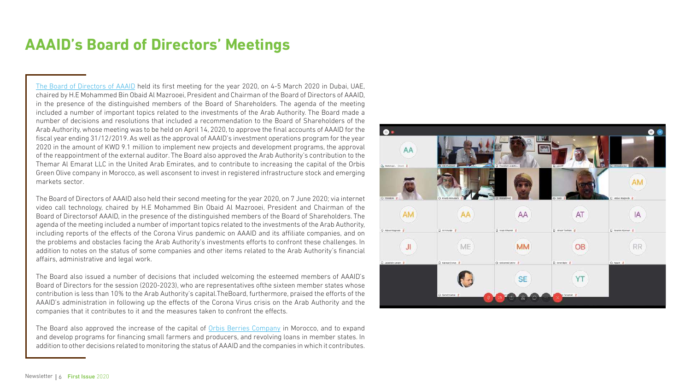## **AAAID's Board of Directors' Meetings**

[The Board of Directors of AAAID](https://www.aaaid.org/en/about-us/board-of-shareholders-directors/) held its first meeting for the year 2020, on 4-5 March 2020 in Dubai, UAE, chaired by H.E Mohammed Bin Obaid Al Mazrooei, President and Chairman of the Board of Directors of AAAID, in the presence of the distinguished members of the Board of Shareholders. The agenda of the meeting included a number of important topics related to the investments of the Arab Authority. The Board made a number of decisions and resolutions that included a recommendation to the Board of Shareholders of the Arab Authority, whose meeting was to be held on April 14, 2020, to approve the final accounts of AAAID for the fiscal year ending 31/12/2019. As well as the approval of AAAID's investment operations program for the year 2020 in the amount of KWD 9.1 million to implement new projects and development programs, the approval of the reappointment of the external auditor. The Board also approved the Arab Authority's contribution to the Themar Al Emarat LLC in the United Arab Emirates, and to contribute to increasing the capital of the Orbis Green Olive company in Morocco, as well asconsent to invest in registered infrastructure stock and emerging markets sector.

The Board also approved the increase of the capital of **[Orbis Berries Company](https://www.aaaid.org/en/companies/orbis-berries/)** in Morocco, and to expand and develop programs for financing small farmers and producers, and revolving loans in member states. In addition to other decisions related to monitoring the status of AAAID and the companies in which it contributes.



The Board of Directors of AAAID also held their second meeting for the year 2020, on 7 June 2020; via internet video call technology, chaired by H.E Mohammed Bin Obaid Al Mazrooei, President and Chairman of the Board of Directorsof AAAID, in the presence of the distinguished members of the Board of Shareholders. The agenda of the meeting included a number of important topics related to the investments of the Arab Authority, including reports of the effects of the Corona Virus pandemic on AAAID and its affiliate companies, and on the problems and obstacles facing the Arab Authority's investments efforts to confront these challenges. In addition to notes on the status of some companies and other items related to the Arab Authority's financial affairs, administrative and legal work.

The Board also issued a number of decisions that included welcoming the esteemed members of AAAID's Board of Directors for the session (2020-2023), who are representatives ofthe sixteen member states whose contribution is less than 10% to the Arab Authority's capital.TheBoard, furthermore, praised the efforts of the AAAID's administration in following up the effects of the Corona Virus crisis on the Arab Authority and the companies that it contributes to it and the measures taken to confront the effects.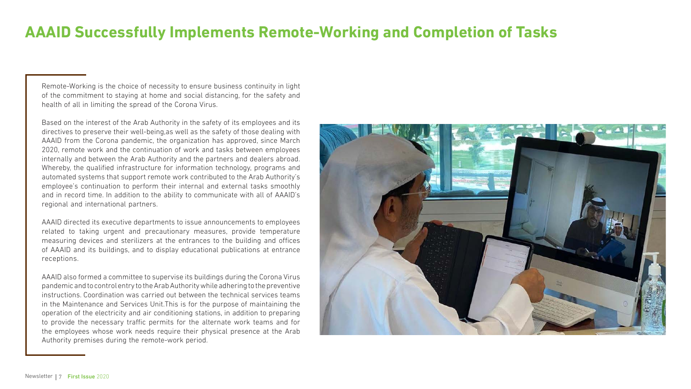## **AAAID Successfully Implements Remote-Working and Completion of Tasks**

Remote-Working is the choice of necessity to ensure business continuity in light of the commitment to staying at home and social distancing, for the safety and health of all in limiting the spread of the Corona Virus.

Based on the interest of the Arab Authority in the safety of its employees and its directives to preserve their well-being,as well as the safety of those dealing with AAAID from the Corona pandemic, the organization has approved, since March 2020, remote work and the continuation of work and tasks between employees internally and between the Arab Authority and the partners and dealers abroad. Whereby, the qualified infrastructure for information technology, programs and automated systems that support remote work contributed to the Arab Authority's employee's continuation to perform their internal and external tasks smoothly and in record time. In addition to the ability to communicate with all of AAAID's regional and international partners.

AAAID directed its executive departments to issue announcements to employees related to taking urgent and precautionary measures, provide temperature measuring devices and sterilizers at the entrances to the building and offices of AAAID and its buildings, and to display educational publications at entrance receptions.

AAAID also formed a committee to supervise its buildings during the Corona Virus pandemic and to control entry to the Arab Authority while adhering to the preventive instructions. Coordination was carried out between the technical services teams in the Maintenance and Services Unit.This is for the purpose of maintaining the operation of the electricity and air conditioning stations, in addition to preparing to provide the necessary traffic permits for the alternate work teams and for the employees whose work needs require their physical presence at the Arab Authority premises during the remote-work period.

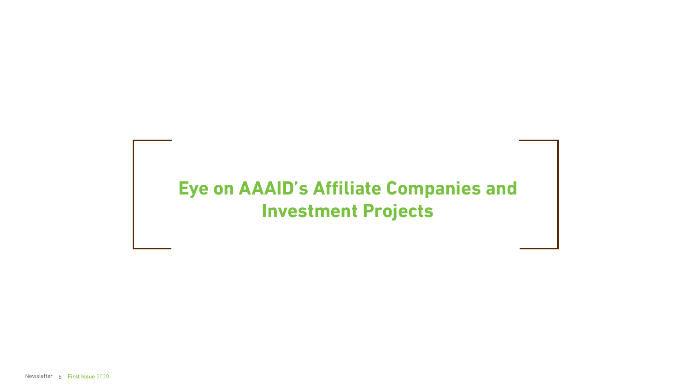## **Eye on AAAID's Affiliate Companies and Investment Projects**

Newsletter | 8 First Issue 2020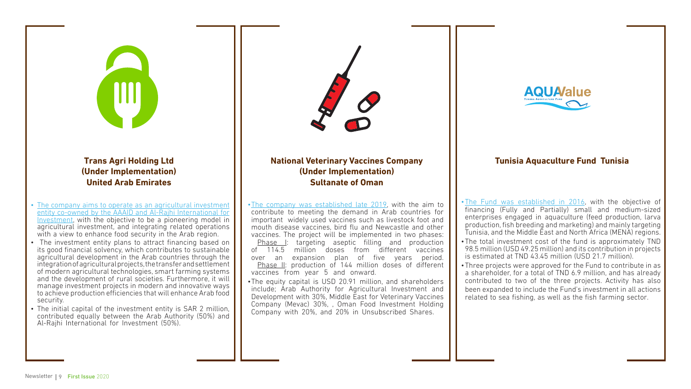#### **Tunisia Aquaculture Fund Tunisia**

- •[The Fund was established in 2016](https://www.aaaid.org/en/companies/tunisia-aquaculture-fund/), with the objective of financing (Fully and Partially) small and medium-sized enterprises engaged in aquaculture (feed production, larva production, fish breeding and marketing) and mainly targeting Tunisia, and the Middle East and North Africa (MENA) regions.
- •The total investment cost of the fund is approximately TND 98.5 million (USD 49.25 million) and its contribution in projects is estimated at TND 43.45 million (USD 21.7 million).
- •Three projects were approved for the Fund to contribute in as a shareholder, for a total of TND 6.9 million, and has already contributed to two of the three projects. Activity has also been expanded to include the Fund's investment in all actions related to sea fishing, as well as the fish farming sector.



- vaccines from year 5 and onward.
- 



•The equity capital is USD 20.91 million, and shareholders include; Arab Authority for Agricultural Investment and Development with 30%, Middle East for Veterinary Vaccines Company (Mevac) 30%, , Oman Food Investment Holding Company with 20%, and 20% in Unsubscribed Shares.



- [The company aims to operate as an agricultural investment](https://www.aaaid.org/en/companies/trans-agri-holding-ltd/) [entity co-owned by the AAAID and Al-Rajhi International for](https://www.aaaid.org/en/companies/trans-agri-holding-ltd/)  [Investment,](https://www.aaaid.org/en/companies/trans-agri-holding-ltd/) with the objective to be a pioneering model in agricultural investment, and integrating related operations with a view to enhance food security in the Arab region.
- The investment entity plans to attract financing based on its good financial solvency, which contributes to sustainable agricultural development in the Arab countries through the integration of agricultural projects, the transfer and settlement of modern agricultural technologies, smart farming systems and the development of rural societies. Furthermore, it will manage investment projects in modern and innovative ways to achieve production efficiencies that will enhance Arab food security.
- The initial capital of the investment entity is SAR 2 million, contributed equally between the Arab Authority (50%) and Al-Rajhi International for Investment (50%).



#### **National Veterinary Vaccines Company (Under Implementation) Sultanate of Oman**

•[The company was established late 2019,](https://www.aaaid.org/en/companies/national-veterinary-vaccines-company/) with the aim to contribute to meeting the demand in Arab countries for important widely used vaccines such as livestock foot and mouth disease vaccines, bird flu and Newcastle and other vaccines. The project will be implemented in two phases: Phase I: targeting aseptic filling and production<br>of 114.5 million doses from different vaccines million doses from different vaccines over an expansion plan of five years period. Phase II: production of 144 million doses of different



**(Under Implementation) United Arab Emirates**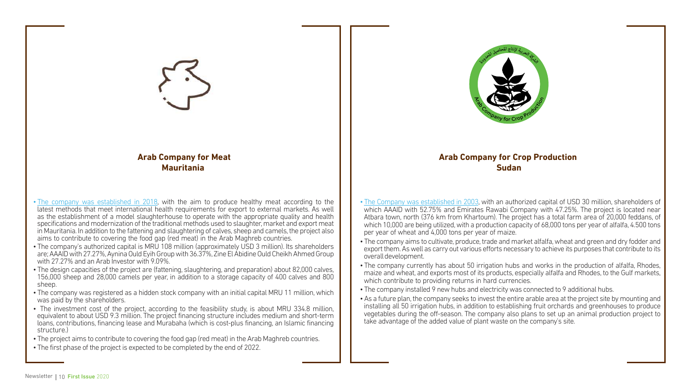- [The Company was established in 2003](https://www.aaaid.org/en/companies/arab-company-for-crop-production/), with an authorized capital of USD 30 million, shareholders of which AAAID with 52.75% and Emirates Rawabi Company with 47.25%. The project is located near Atbara town, north (376 km from Khartoum). The project has a total farm area of 20,000 feddans, of which 10,000 are being utilized, with a production capacity of 68,000 tons per year of alfalfa, 4.500 tons per year of wheat and 4,000 tons per year of maize.
- The company aims to cultivate, produce, trade and market alfalfa, wheat and green and dry fodder and export them. As well as carry out various efforts necessary to achieve its purposes that contribute to its overall development.
- The company currently has about 50 irrigation hubs and works in the production of alfalfa, Rhodes, maize and wheat, and exports most of its products, especially alfalfa and Rhodes, to the Gulf markets, which contribute to providing returns in hard currencies.
- The company installed 9 new hubs and electricity was connected to 9 additional hubs.
- •As a future plan, the company seeks to invest the entire arable area at the project site by mounting and installing all 50 irrigation hubs, in addition to establishing fruit orchards and greenhouses to produce vegetables during the off-season. The company also plans to set up an animal production project to take advantage of the added value of plant waste on the company's site.



- [The company was established in 2018](https://www.aaaid.org/en/companies/arab-company-for-meat/), with the aim to produce healthy meat according to the latest methods that meet international health requirements for export to external markets. As well as the establishment of a model slaughterhouse to operate with the appropriate quality and health specifications and modernization of the traditional methods used to slaughter, market and export meat in Mauritania. In addition to the fattening and slaughtering of calves, sheep and camels, the project also aims to contribute to covering the food gap (red meat) in the Arab Maghreb countries.
- The company's authorized capital is MRU 108 million (approximately USD 3 million). Its shareholders are; AAAID with 27.27%, Aynina Ould Eyih Group with 36.37%, Zine El Abidine Ould Cheikh Ahmed Group with 27.27% and an Arab Investor with 9.09%.
- The design capacities of the project are (fattening, slaughtering, and preparation) about 82,000 calves, 156,000 sheep and 28,000 camels per year, in addition to a storage capacity of 400 calves and 800 sheep.
- The company was registered as a hidden stock company with an initial capital MRU 11 million, which was paid by the shareholders.
- The investment cost of the project, according to the feasibility study, is about MRU 334.8 million, equivalent to about USD 9.3 million. The project financing structure includes medium and short-term loans, contributions, financing lease and Murabaha (which is cost-plus financing, an Islamic financing structure.)
- The project aims to contribute to covering the food gap (red meat) in the Arab Maghreb countries.
- The first phase of the project is expected to be completed by the end of 2022.



#### **Arab Company for Crop Production Sudan**



#### **Arab Company for Meat Mauritania**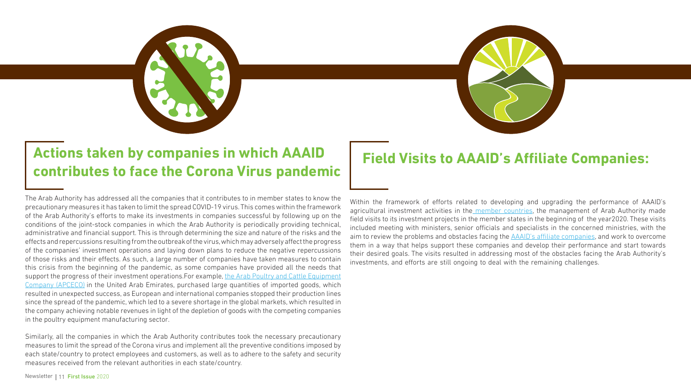The Arab Authority has addressed all the companies that it contributes to in member states to know the precautionary measures it has taken to limit the spread COVID-19 virus. This comes within the framework of the Arab Authority's efforts to make its investments in companies successful by following up on the conditions of the joint-stock companies in which the Arab Authority is periodically providing technical, administrative and financial support. This is through determining the size and nature of the risks and the effects and repercussions resulting from the outbreak of the virus, which may adversely affect the progress of the companies' investment operations and laying down plans to reduce the negative repercussions of those risks and their effects. As such, a large number of companies have taken measures to contain this crisis from the beginning of the pandemic, as some companies have provided all the needs that support the progress of their investment operations. For example, the Arab Poultry and Cattle Equipment [Company \(APCECO\)](https://www.aaaid.org/en/companies/arab-poultry-cattle-equipment-company-apceco/) in the United Arab Emirates, purchased large quantities of imported goods, which resulted in unexpected success, as European and international companies stopped their production lines since the spread of the pandemic, which led to a severe shortage in the global markets, which resulted in the company achieving notable revenues in light of the depletion of goods with the competing companies in the poultry equipment manufacturing sector. Within the framework of efforts related to developing and upgrading the performance of AAAID's agricultural investment activities in the [member countries,](https://www.aaaid.org/en/about-us/financial-performance/) the management of Arab Authority made field visits to its investment projects in the member states in the beginning of the year2020. These visits included meeting with ministers, senior officials and specialists in the concerned ministries, with the aim to review the problems and obstacles facing the **[AAAID's affiliate companies](https://www.aaaid.org/en/our-companies/)**, and work to overcome them in a way that helps support these companies and develop their performance and start towards their desired goals. The visits resulted in addressing most of the obstacles facing the Arab Authority's investments, and efforts are still ongoing to deal with the remaining challenges.

Similarly, all the companies in which the Arab Authority contributes took the necessary precautionary measures to limit the spread of the Corona virus and implement all the preventive conditions imposed by each state/country to protect employees and customers, as well as to adhere to the safety and security measures received from the relevant authorities in each state/country.







## **Actions taken by companies in which AAAID contributes to face the Corona Virus pandemic Field Visits to AAAID's Affiliate Companies:**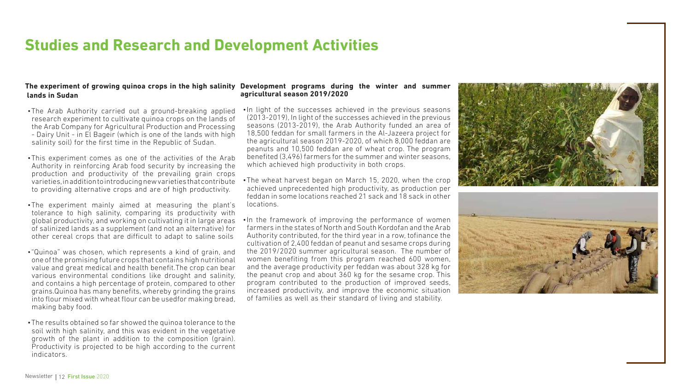### **Studies and Research and Development Activities**

#### **agricultural season 2019/2020**

•In light of the successes achieved in the previous seasons (2013-2019), In light of the successes achieved in the previous seasons (2013-2019), the Arab Authority funded an area of 18,500 feddan for small farmers in the Al-Jazeera project for the agricultural season 2019-2020, of which 8,000 feddan are peanuts and 10,500 feddan are of wheat crop. The program benefited (3,496) farmers for the summer and winter seasons, which achieved high productivity in both crops.

•The wheat harvest began on March 15, 2020, when the crop achieved unprecedented high productivity, as production per feddan in some locations reached 21 sack and 18 sack in other

#### The experiment of growing quinoa crops in the high salinity Development programs during the winter and summer  **lands in Sudan**

- 
- locations.
- 

•In the framework of improving the performance of women farmers in the states of North and South Kordofan and the Arab Authority contributed, for the third year in a row, tofinance the cultivation of 2,400 feddan of peanut and sesame crops during the 2019/2020 summer agricultural season. The number of women benefiting from this program reached 600 women, and the average productivity per feddan was about 328 kg for the peanut crop and about 360 kg for the sesame crop. This program contributed to the production of improved seeds, increased productivity, and improve the economic situation of families as well as their standard of living and stability.





- •The Arab Authority carried out a ground-breaking applied research experiment to cultivate quinoa crops on the lands of the Arab Company for Agricultural Production and Processing - Dairy Unit - in El Bageir (which is one of the lands with high salinity soil) for the first time in the Republic of Sudan.
- •This experiment comes as one of the activities of the Arab Authority in reinforcing Arab food security by increasing the production and productivity of the prevailing grain crops varieties, in addition to introducing new varieties that contribute to providing alternative crops and are of high productivity.
- •The experiment mainly aimed at measuring the plant's tolerance to high salinity, comparing its productivity with global productivity, and working on cultivating it in large areas of salinized lands as a supplement (and not an alternative) for other cereal crops that are difficult to adapt to saline soils
- •"Quinoa" was chosen, which represents a kind of grain, and one of the promising future crops that contains high nutritional value and great medical and health benefit.The crop can bear various environmental conditions like drought and salinity, and contains a high percentage of protein, compared to other grains.Quinoa has many benefits, whereby grinding the grains into flour mixed with wheat flour can be usedfor making bread, making baby food.
- •The results obtained so far showed the quinoa tolerance to the soil with high salinity, and this was evident in the vegetative growth of the plant in addition to the composition (grain). Productivity is projected to be high according to the current indicators.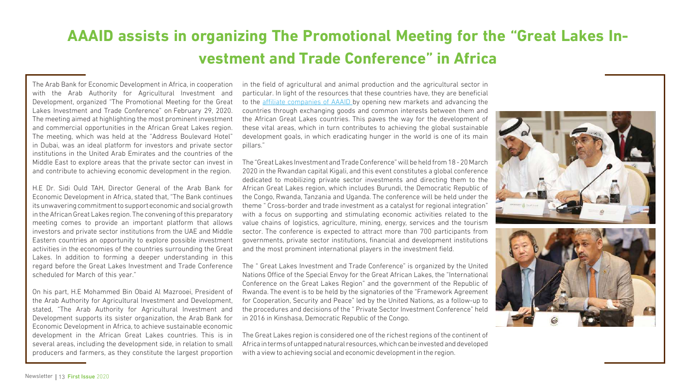## **AAAID assists in organizing The Promotional Meeting for the "Great Lakes Investment and Trade Conference" in Africa**

The Arab Bank for Economic Development in Africa, in cooperation with the Arab Authority for Agricultural Investment and Development, organized "The Promotional Meeting for the Great Lakes Investment and Trade Conference" on February 29, 2020. The meeting aimed at highlighting the most prominent investment and commercial opportunities in the African Great Lakes region. The meeting, which was held at the "Address Boulevard Hotel" in Dubai, was an ideal platform for investors and private sector institutions in the United Arab Emirates and the countries of the Middle East to explore areas that the private sector can invest in and contribute to achieving economic development in the region.

H.E Dr. Sidi Ould TAH, Director General of the Arab Bank for Economic Development in Africa, stated that, "The Bank continues its unwavering commitment to support economic and social growth in the African Great Lakes region. The convening of this preparatory meeting comes to provide an important platform that allows investors and private sector institutions from the UAE and Middle Eastern countries an opportunity to explore possible investment activities in the economies of the countries surrounding the Great Lakes. In addition to forming a deeper understanding in this regard before the Great Lakes Investment and Trade Conference scheduled for March of this year."

On his part, H.E Mohammed Bin Obaid Al Mazrooei, President of the Arab Authority for Agricultural Investment and Development, stated, "The Arab Authority for Agricultural Investment and Development supports its sister organization, the Arab Bank for Economic Development in Africa, to achieve sustainable economic development in the African Great Lakes countries. This is in several areas, including the development side, in relation to small producers and farmers, as they constitute the largest proportion in the field of agricultural and animal production and the agricultural sector in particular. In light of the resources that these countries have, they are beneficial to the *[affiliate companies of AAAID](https://www.aaaid.org/en/our-companies/)* by opening new markets and advancing the countries through exchanging goods and common interests between them and the African Great Lakes countries. This paves the way for the development of these vital areas, which in turn contributes to achieving the global sustainable development goals, in which eradicating hunger in the world is one of its main pillars."

The "Great Lakes Investment and Trade Conference" will be held from 18 - 20 March 2020 in the Rwandan capital Kigali, and this event constitutes a global conference dedicated to mobilizing private sector investments and directing them to the African Great Lakes region, which includes Burundi, the Democratic Republic of the Congo, Rwanda, Tanzania and Uganda. The conference will be held under the theme " Cross-border and trade investment as a catalyst for regional integration" with a focus on supporting and stimulating economic activities related to the value chains of logistics, agriculture, mining, energy, services and the tourism sector. The conference is expected to attract more than 700 participants from governments, private sector institutions, financial and development institutions and the most prominent international players in the investment field.

The " Great Lakes Investment and Trade Conference" is organized by the United Nations Office of the Special Envoy for the Great African Lakes, the "International Conference on the Great Lakes Region" and the government of the Republic of Rwanda. The event is to be held by the signatories of the "Framework Agreement for Cooperation, Security and Peace" led by the United Nations, as a follow-up to the procedures and decisions of the " Private Sector Investment Conference" held in 2016 in Kinshasa, Democratic Republic of the Congo.

The Great Lakes region is considered one of the richest regions of the continent of Africa in terms of untapped natural resources, which can be invested and developed with a view to achieving social and economic development in the region.

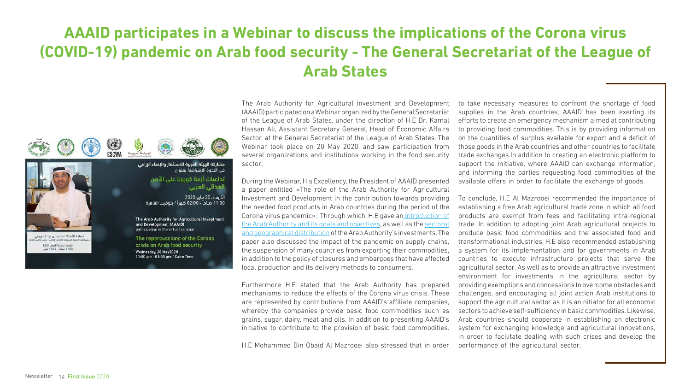## **AAAID participates in a Webinar to discuss the implications of the Corona virus (COVID-19) pandemic on Arab food security - The General Secretariat of the League of Arab States**



The Arab Authority for Agricultural investment and Development (AAAID) participated on a Webinar organized by the General Secretariat of the League of Arab States, under the direction of H.E Dr. Kamal Hassan Ali, Assistant Secretary General, Head of Economic Affairs Sector, at the General Secretariat of the League of Arab States. The Webinar took place on 20 May 2020, and saw participation from several organizations and institutions working in the food security sector.

During the Webinar, His Excellency, the President of AAAID presented a paper entitled «The role of the Arab Authority for Agricultural Investment and Development in the contribution towards providing [the Arab Authority and its goals and objectives](https://www.aaaid.org/en/about-us/get-to-know-us/), as well as the [sectoral](https://www.aaaid.org/en/) local production and its delivery methods to consumers.

to take necessary measures to confront the shortage of food supplies in the Arab countries, AAAID has been exerting its efforts to create an emergency mechanism aimed at contributing to providing food commodities. This is by providing information on the quantities of surplus available for export and a deficit of those goods in the Arab countries and other countries to facilitate trade exchanges.In addition to creating an electronic platform to support the initiative, where AAAID can exchange information, and informing the parties requesting food commodities of the available offers in order to facilitate the exchange of goods.



the needed food products in Arab countries during the period of the Corona virus pandemic». Through which, H.E gave an [introduction of](https://www.aaaid.org/en/about-us/get-to-know-us/) [and geographical distribution](https://www.aaaid.org/en/) of the Arab Authority's investments. The paper also discussed the impact of the pandemic on supply chains, the suspension of many countries from exporting their commodities, in addition to the policy of closures and embargoes that have affected Furthermore H.E stated that the Arab Authority has prepared mechanisms to reduce the effects of the Corona virus crisis. These are represented by contributions from AAAID's affiliate companies, whereby the companies provide basic food commodities such as grains, sugar, dairy, meat and oils. In addition to presenting AAAID's initiative to contribute to the provision of basic food commodities. H.E Mohammed Bin Obaid Al Mazrooei also stressed that in order To conclude, H.E Al Mazrooei recommended the importance of establishing a free Arab agricultural trade zone in which all food products are exempt from fees and facilitating intra-regional trade. In addition to adopting joint Arab agricultural projects to produce basic food commodities and the associated food and transformational industries. H.E also recommended establishing a system for its implementation and for governments in Arab countries to execute infrastructure projects that serve the agricultural sector. As well as to provide an attractive investment environment for investments in the agricultural sector by providing exemptions and concessions to overcome obstacles and challenges, and encouraging all joint action Arab institutions to support the agricultural sector as it is aninitiator for all economic sectors to achieve self-sufficiency in basic commodities. Likewise, Arab countries should cooperate in establishing an electronic system for exchanging knowledge and agricultural innovations, in order to facilitate dealing with such crises and develop the performance of the agricultural sector.